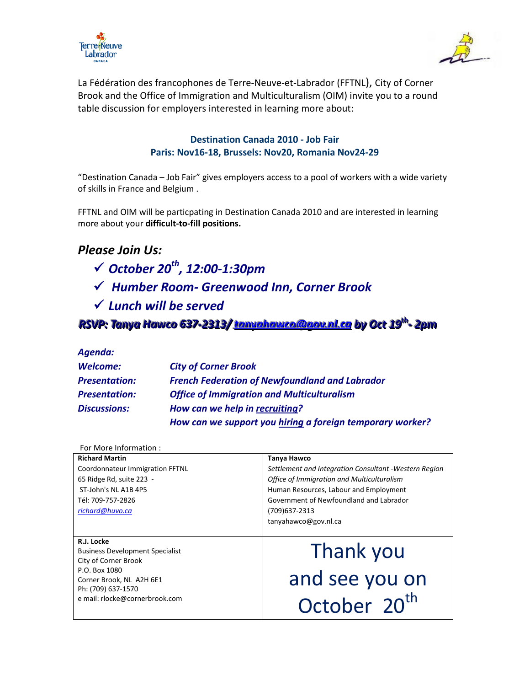



La Fédération des francophones de Terre-Neuve-et-Labrador (FFTNL), City of Corner Brook and the Office of Immigration and Multiculturalism (OIM) invite you to a round table discussion for employers interested in learning more about:

## **Destination Canada 2010 - Job Fair Paris: Nov16-18, Brussels: Nov20, Romania Nov24-29**

"Destination Canada – Job Fair" gives employers access to a pool of workers with a wide variety of skills in France and Belgium .

FFTNL and OIM will be particpating in Destination Canada 2010 and are interested in learning more about your **difficult-to-fill positions.** 

## *Please Join Us:*

- *October 20th , 12:00-1:30pm*
- *Humber Room- Greenwood Inn, Corner Brook*
- *Lunch will be served*

*RSVP: Tanya Hawco 637-2313/ tanuahawca@gou.nl.ca by Oct 19<sup>th</sup> - 2pm* 

## *Agenda:*

| Welcome:             | <b>City of Corner Brook</b>                               |
|----------------------|-----------------------------------------------------------|
| <b>Presentation:</b> | <b>French Federation of Newfoundland and Labrador</b>     |
| <b>Presentation:</b> | <b>Office of Immigration and Multiculturalism</b>         |
| <b>Discussions:</b>  | How can we help in recruiting?                            |
|                      | How can we support you hiring a foreign temporary worker? |

## For More Information :

| <b>Richard Martin</b>                  | Tanya Hawco                                            |
|----------------------------------------|--------------------------------------------------------|
| Coordonnateur Immigration FFTNL        | Settlement and Integration Consultant - Western Region |
| 65 Ridge Rd, suite 223 -               | Office of Immigration and Multiculturalism             |
| ST-John's NL A1B 4P5                   | Human Resources, Labour and Employment                 |
| Tél: 709-757-2826                      | Government of Newfoundland and Labrador                |
| richard@huvo.ca                        | (709)637-2313                                          |
|                                        | tanyahawco@gov.nl.ca                                   |
|                                        |                                                        |
| R.J. Locke                             |                                                        |
| <b>Business Development Specialist</b> | Thank you                                              |
| City of Corner Brook                   |                                                        |
| P.O. Box 1080                          |                                                        |
|                                        |                                                        |
| Corner Brook, NL A2H 6E1               | and see you on                                         |
| Ph: (709) 637-1570                     |                                                        |
| e mail: rlocke@cornerbrook.com         | October 20 <sup>th</sup>                               |